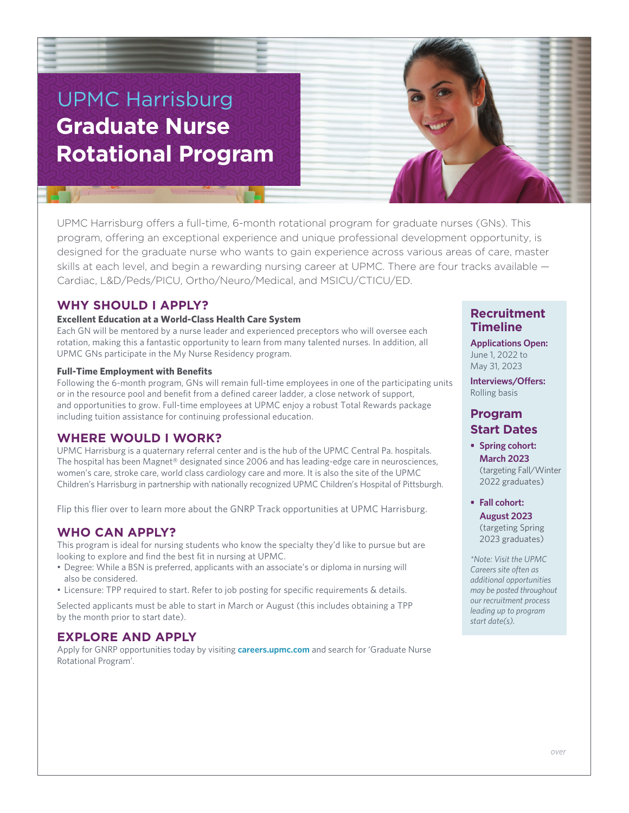# UPMC Harrisburg **Graduate Nurse Rotational Program**



UPMC Harrisburg offers a full-time, 6-month rotational program for graduate nurses (GNs). This program, offering an exceptional experience and unique professional development opportunity, is designed for the graduate nurse who wants to gain experience across various areas of care, master skills at each level, and begin a rewarding nursing career at UPMC. There are four tracks available — Cardiac, L&D/Peds/PICU, Ortho/Neuro/Medical, and MSICU/CTICU/ED.

## **WHY SHOULD I APPLY?**

#### **Excellent Education at a World-Class Health Care System**

Each GN will be mentored by a nurse leader and experienced preceptors who will oversee each rotation, making this a fantastic opportunity to learn from many talented nurses. In addition, all UPMC GNs participate in the My Nurse Residency program.

#### **Full-Time Employment with Benefits**

Following the 6-month program, GNs will remain full-time employees in one of the participating units or in the resource pool and benefit from a defined career ladder, a close network of support, and opportunities to grow. Full-time employees at UPMC enjoy a robust Total Rewards package including tuition assistance for continuing professional education.

#### **WHERE WOULD I WORK?**

UPMC Harrisburg is a quaternary referral center and is the hub of the UPMC Central Pa. hospitals. The hospital has been Magnet® designated since 2006 and has leading-edge care in neurosciences, women's care, stroke care, world class cardiology care and more. It is also the site of the UPMC Children's Harrisburg in partnership with nationally recognized UPMC Children's Hospital of Pittsburgh.

Flip this flier over to learn more about the GNRP Track opportunities at UPMC Harrisburg.

## **WHO CAN APPLY?**

This program is ideal for nursing students who know the specialty they'd like to pursue but are looking to explore and find the best fit in nursing at UPMC.

- Degree: While a BSN is preferred, applicants with an associate's or diploma in nursing will also be considered.
- Licensure: TPP required to start. Refer to job posting for specific requirements & details.

Selected applicants must be able to start in March or August (this includes obtaining a TPP by the month prior to start date).

## **EXPLORE AND APPLY**

Apply for GNRP opportunities today by visiting **careers.upmc.com** and search for 'Graduate Nurse Rotational Program'.

#### **Recruitment Timeline**

**Applications Open:** June 1, 2022 to May 31, 2023

**Interviews/Offers:** Rolling basis

## **Program Start Dates**

**• Spring cohort: March 2023** (targeting Fall/Winter 2022 graduates)

**• Fall cohort: August 2023** (targeting Spring 2023 graduates)

*\*Note: Visit the UPMC Careers site often as additional opportunities may be posted throughout our recruitment process leading up to program start date(s).*